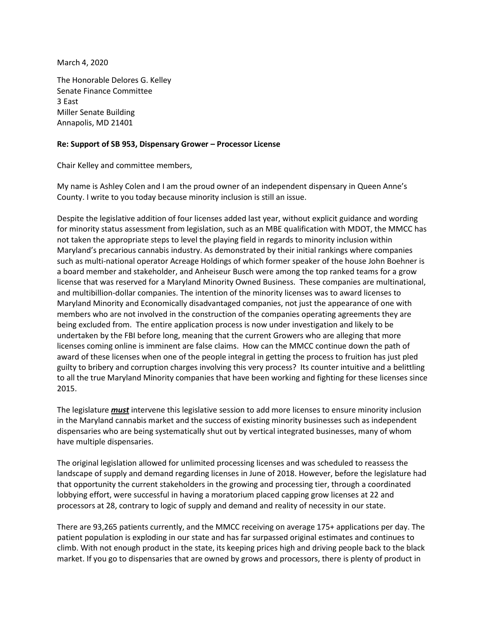March 4, 2020

The Honorable Delores G. Kelley Senate Finance Committee 3 East Miller Senate Building Annapolis, MD 21401

## **Re: Support of SB 953, Dispensary Grower – Processor License**

Chair Kelley and committee members,

My name is Ashley Colen and I am the proud owner of an independent dispensary in Queen Anne's County. I write to you today because minority inclusion is still an issue.

Despite the legislative addition of four licenses added last year, without explicit guidance and wording for minority status assessment from legislation, such as an MBE qualification with MDOT, the MMCC has not taken the appropriate steps to level the playing field in regards to minority inclusion within Maryland's precarious cannabis industry. As demonstrated by their initial rankings where companies such as multi-national operator Acreage Holdings of which former speaker of the house John Boehner is a board member and stakeholder, and Anheiseur Busch were among the top ranked teams for a grow license that was reserved for a Maryland Minority Owned Business. These companies are multinational, and multibillion-dollar companies. The intention of the minority licenses was to award licenses to Maryland Minority and Economically disadvantaged companies, not just the appearance of one with members who are not involved in the construction of the companies operating agreements they are being excluded from. The entire application process is now under investigation and likely to be undertaken by the FBI before long, meaning that the current Growers who are alleging that more licenses coming online is imminent are false claims. How can the MMCC continue down the path of award of these licenses when one of the people integral in getting the process to fruition has just pled guilty to bribery and corruption charges involving this very process? Its counter intuitive and a belittling to all the true Maryland Minority companies that have been working and fighting for these licenses since 2015.

The legislature *must* intervene this legislative session to add more licenses to ensure minority inclusion in the Maryland cannabis market and the success of existing minority businesses such as independent dispensaries who are being systematically shut out by vertical integrated businesses, many of whom have multiple dispensaries.

The original legislation allowed for unlimited processing licenses and was scheduled to reassess the landscape of supply and demand regarding licenses in June of 2018. However, before the legislature had that opportunity the current stakeholders in the growing and processing tier, through a coordinated lobbying effort, were successful in having a moratorium placed capping grow licenses at 22 and processors at 28, contrary to logic of supply and demand and reality of necessity in our state.

There are 93,265 patients currently, and the MMCC receiving on average 175+ applications per day. The patient population is exploding in our state and has far surpassed original estimates and continues to climb. With not enough product in the state, its keeping prices high and driving people back to the black market. If you go to dispensaries that are owned by grows and processors, there is plenty of product in